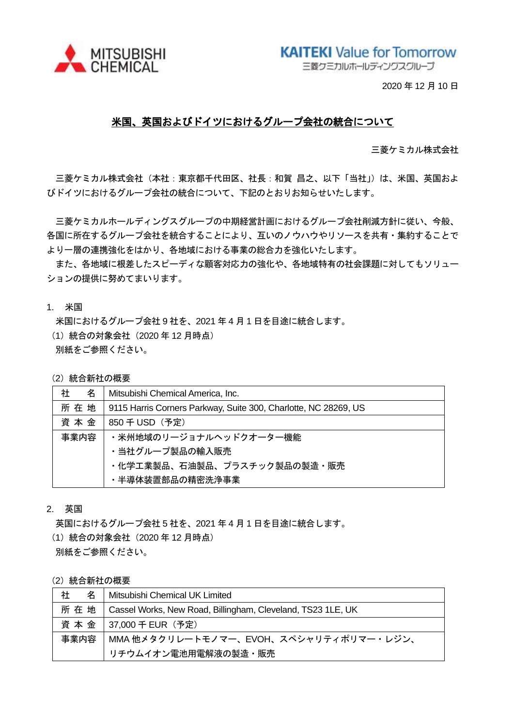

**KAITEKI** Value for Tomorrow

三菱クミカルホールディングスグループ

2020 年 12 月 10 日

## 米国、英国およびドイツにおけるグループ会社の統合について

三菱ケミカル株式会社

三菱ケミカル株式会社(本社:東京都千代田区、社長:和賀 昌之、以下「当社」)は、米国、英国およ びドイツにおけるグループ会社の統合について、下記のとおりお知らせいたします。

三菱ケミカルホールディングスグループの中期経営計画におけるグループ会社削減方針に従い、今般、 各国に所在するグループ会社を統合することにより、互いのノウハウやリソースを共有・集約することで より一層の連携強化をはかり、各地域における事業の総合力を強化いたします。

また、各地域に根差したスピーディな顧客対応力の強化や、各地域特有の社会課題に対してもソリュー ションの提供に努めてまいります。

1. 米国

米国におけるグループ会社 9 社を、2021 年 4 月 1 日を目途に統合します。

(1) 統合の対象会社 (2020年12月時点)

別紙をご参照ください。

#### (2) 統合新社の概要

| 社<br>名 | Mitsubishi Chemical America, Inc.                               |  |
|--------|-----------------------------------------------------------------|--|
| 所 在 地  | 9115 Harris Corners Parkway, Suite 300, Charlotte, NC 28269, US |  |
| 資本金    | 850 千 USD(予定)                                                   |  |
| 事業内容   | ・米州地域のリージョナルヘッドクオーター機能                                          |  |
|        | ・当社グループ製品の輸入販売                                                  |  |
|        | ・化学工業製品、石油製品、プラスチック製品の製造・販売                                     |  |
|        | ・半導体装置部品の精密洗浄事業                                                 |  |

#### 2. 英国

英国におけるグループ会社 5 社を、2021 年 4 月 1 日を目途に統合します。

(1) 統合の対象会社 (2020年12月時点)

別紙をご参照ください。

#### (2) 統合新社の概要

| 社<br>名 | Mitsubishi Chemical UK Limited                              |  |
|--------|-------------------------------------------------------------|--|
| 所在地    | Cassel Works, New Road, Billingham, Cleveland, TS23 1LE, UK |  |
|        | 資本金   37,000 千 EUR (予定)                                     |  |
| 事業内容   | MMA 他メタクリレートモノマー、EVOH、スペシャリティポリマー・レジン、                      |  |
|        | リチウムイオン電池用電解液の製造・販売                                         |  |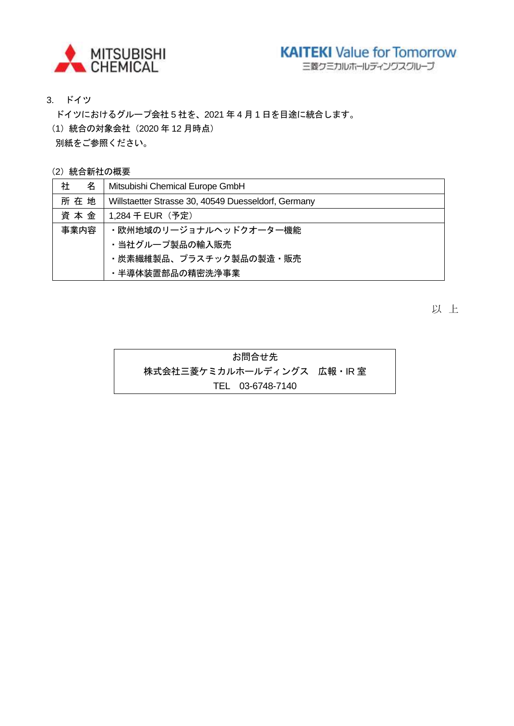

三菱クミカルホールディングスグループ

3. ドイツ

ドイツにおけるグループ会社 5 社を、2021 年 4 月 1 日を目途に統合します。 (1) 統合の対象会社 (2020年12月時点) 別紙をご参照ください。

(2) 統合新社の概要

| 社<br>名 | Mitsubishi Chemical Europe GmbH                     |  |
|--------|-----------------------------------------------------|--|
| 所在地    | Willstaetter Strasse 30, 40549 Duesseldorf, Germany |  |
| 資本金    | 1,284 千 EUR(予定)                                     |  |
| 事業内容   | ・欧州地域のリージョナルヘッドクオーター機能                              |  |
|        | ・当社グループ製品の輸入販売                                      |  |
|        | ・炭素繊維製品、プラスチック製品の製造・販売                              |  |
|        | ・半導体装置部品の精密洗浄事業                                     |  |

以 上

お問合せ先 株式会社三菱ケミカルホールディングス 広報・IR 室 TEL 03-6748-7140